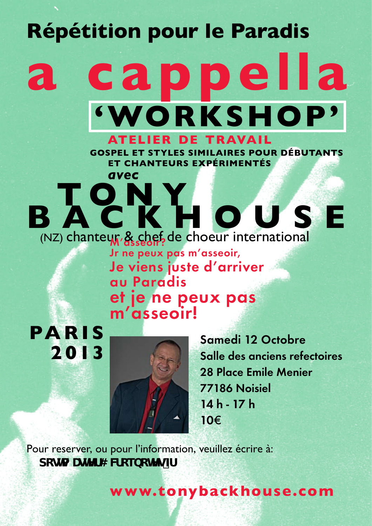## **Répétition pour le Paradis**

## **a cappella 'WORKSHOP' atelier de travail**

**GOSPEL ET STYLES SIMILAIRES POUR DÉBUTANTS ET CHANTEURS EXPÉRIMENTÉS**

**B ACRHOUSE** (NZ) chanteur, & chef de choeur international **Jr ne peux pas m'asseoir, Je viens juste d'arriver au Paradis et je ne peux pas m'asseoir!**

 *avec*

**PA R I S 2013**



**Samedi 12 Octobre Salle des anciens refectoires 28 Place Emile Menier 77186 Noisiel 14 h - 17 h 10**€

Pour reserver, ou pour l'information, veuillez écrire à: dcga UghYf4 WicebchYgZ

**www.tonybackhouse.com**